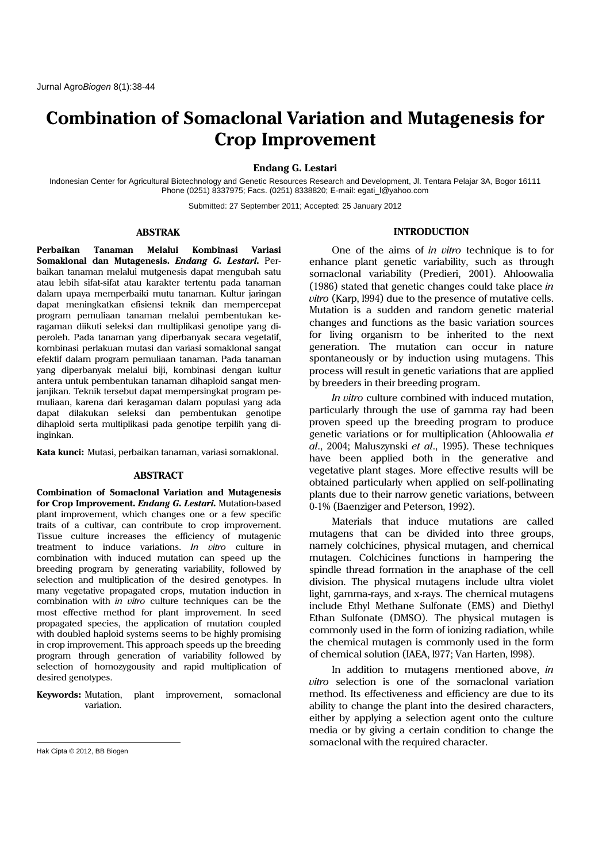# **Combination of Somaclonal Variation and Mutagenesis for Crop Improvement**

**Endang G. Lestari**

Indonesian Center for Agricultural Biotechnology and Genetic Resources Research and Development, Jl. Tentara Pelajar 3A, Bogor 16111 Phone (0251) 8337975; Facs. (0251) 8338820; E-mail: egati\_l@yahoo.com

Submitted: 27 September 2011; Accepted: 25 January 2012

#### **ABSTRAK**

**Perbaikan Tanaman Melalui Kombinasi Variasi Somaklonal dan Mutagenesis.** *Endang G. Lestari.* Perbaikan tanaman melalui mutgenesis dapat mengubah satu atau lebih sifat-sifat atau karakter tertentu pada tanaman dalam upaya memperbaiki mutu tanaman. Kultur jaringan dapat meningkatkan efisiensi teknik dan mempercepat program pemuliaan tanaman melalui pembentukan keragaman diikuti seleksi dan multiplikasi genotipe yang diperoleh. Pada tanaman yang diperbanyak secara vegetatif, kombinasi perlakuan mutasi dan variasi somaklonal sangat efektif dalam program pemuliaan tanaman. Pada tanaman yang diperbanyak melalui biji, kombinasi dengan kultur antera untuk pembentukan tanaman dihaploid sangat menjanjikan. Teknik tersebut dapat mempersingkat program pemuliaan, karena dari keragaman dalam populasi yang ada dapat dilakukan seleksi dan pembentukan genotipe dihaploid serta multiplikasi pada genotipe terpilih yang diinginkan.

**Kata kunci:** Mutasi, perbaikan tanaman, variasi somaklonal.

## **ABSTRACT**

**Combination of Somaclonal Variation and Mutagenesis for Crop Improvement.** *Endang G. Lestari.* Mutation-based plant improvement, which changes one or a few specific traits of a cultivar, can contribute to crop improvement. Tissue culture increases the efficiency of mutagenic treatment to induce variations. *In vitro* culture in combination with induced mutation can speed up the breeding program by generating variability, followed by selection and multiplication of the desired genotypes. In many vegetative propagated crops, mutation induction in combination with *in vitro* culture techniques can be the most effective method for plant improvement. In seed propagated species, the application of mutation coupled with doubled haploid systems seems to be highly promising in crop improvement. This approach speeds up the breeding program through generation of variability followed by selection of homozygousity and rapid multiplication of desired genotypes.

**Keywords:** Mutation, plant improvement, somaclonal variation.

**INTRODUCTION** 

One of the aims of *in vitro* technique is to for enhance plant genetic variability, such as through somaclonal variability (Predieri, 2001). Ahloowalia (1986) stated that genetic changes could take place *in vitro* (Karp, l994) due to the presence of mutative cells. Mutation is a sudden and random genetic material changes and functions as the basic variation sources for living organism to be inherited to the next generation. The mutation can occur in nature spontaneously or by induction using mutagens. This process will result in genetic variations that are applied by breeders in their breeding program.

*In vitro* culture combined with induced mutation, particularly through the use of gamma ray had been proven speed up the breeding program to produce genetic variations or for multiplication (Ahloowalia *et al*., 2004; Maluszynski *et al*., 1995). These techniques have been applied both in the generative and vegetative plant stages. More effective results will be obtained particularly when applied on self-pollinating plants due to their narrow genetic variations, between 0-1% (Baenziger and Peterson, 1992).

Materials that induce mutations are called mutagens that can be divided into three groups, namely colchicines, physical mutagen, and chemical mutagen. Colchicines functions in hampering the spindle thread formation in the anaphase of the cell division. The physical mutagens include ultra violet light, gamma-rays, and x-rays. The chemical mutagens include Ethyl Methane Sulfonate (EMS) and Diethyl Ethan Sulfonate (DMSO). The physical mutagen is commonly used in the form of ionizing radiation, while the chemical mutagen is commonly used in the form of chemical solution (IAEA, l977; Van Harten, l998).

In addition to mutagens mentioned above, *in vitro* selection is one of the somaclonal variation method. Its effectiveness and efficiency are due to its ability to change the plant into the desired characters, either by applying a selection agent onto the culture media or by giving a certain condition to change the somaclonal with the required character.

 $\overline{a}$ 

Hak Cipta © 2012, BB Biogen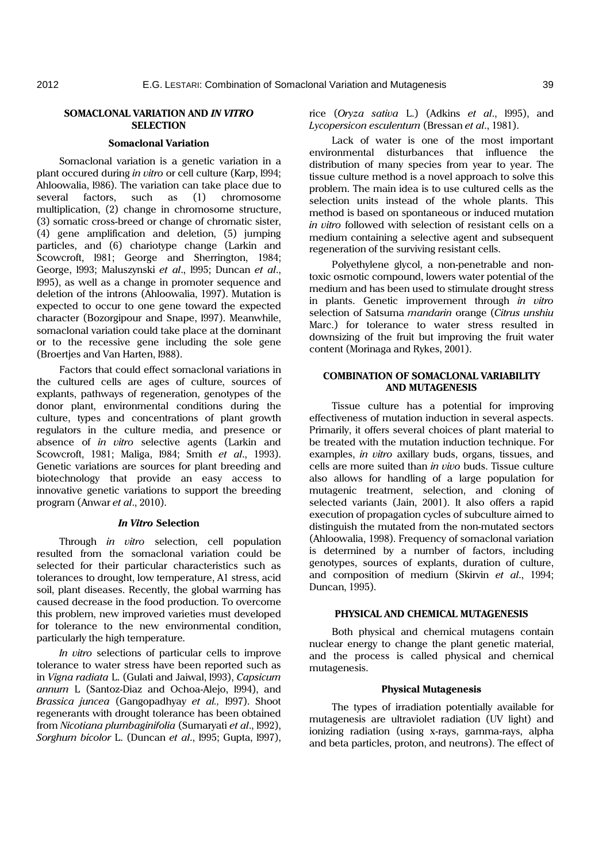# **SOMACLONAL VARIATION AND** *IN VITRO* **SELECTION**

## **Somaclonal Variation**

Somaclonal variation is a genetic variation in a plant occured during *in vitro* or cell culture (Karp, l994; Ahloowalia, l986). The variation can take place due to several factors, such as (1) chromosome multiplication, (2) change in chromosome structure, (3) somatic cross-breed or change of chromatic sister, (4) gene amplification and deletion, (5) jumping particles, and (6) chariotype change (Larkin and Scowcroft, l981; George and Sherrington, 1984; George, l993; Maluszynski *et al*., l995; Duncan *et al*., l995), as well as a change in promoter sequence and deletion of the introns (Ahloowalia, 1997). Mutation is expected to occur to one gene toward the expected character (Bozorgipour and Snape, l997). Meanwhile, somaclonal variation could take place at the dominant or to the recessive gene including the sole gene (Broertjes and Van Harten, l988).

Factors that could effect somaclonal variations in the cultured cells are ages of culture, sources of explants, pathways of regeneration, genotypes of the donor plant, environmental conditions during the culture, types and concentrations of plant growth regulators in the culture media, and presence or absence of *in vitro* selective agents (Larkin and Scowcroft, 1981; Maliga, l984; Smith *et al*., 1993). Genetic variations are sources for plant breeding and biotechnology that provide an easy access to innovative genetic variations to support the breeding program (Anwar *et al*., 2010).

## *In Vitro* **Selection**

Through *in vitro* selection, cell population resulted from the somaclonal variation could be selected for their particular characteristics such as tolerances to drought, low temperature, A1 stress, acid soil, plant diseases. Recently, the global warming has caused decrease in the food production. To overcome this problem, new improved varieties must developed for tolerance to the new environmental condition, particularly the high temperature.

*In vitro* selections of particular cells to improve tolerance to water stress have been reported such as in *Vigna radiata* L. (Gulati and Jaiwal, l993), *Capsicum annum* L (Santoz-Diaz and Ochoa-Alejo, l994), and *Brassica juncea* (Gangopadhyay *et al.,* l997). Shoot regenerants with drought tolerance has been obtained from *Nicotiana plumbaginifolia* (Sumaryati *et al*., l992), *Sorghum bicolor* L. (Duncan *et al*., l995; Gupta, l997), rice (*Oryza sativa* L.) (Adkins *et al*., l995), and *Lycopersicon esculentum* (Bressan *et al*., 1981).

Lack of water is one of the most important environmental disturbances that influence the distribution of many species from year to year. The tissue culture method is a novel approach to solve this problem. The main idea is to use cultured cells as the selection units instead of the whole plants. This method is based on spontaneous or induced mutation *in vitro* followed with selection of resistant cells on a medium containing a selective agent and subsequent regeneration of the surviving resistant cells.

Polyethylene glycol, a non-penetrable and nontoxic osmotic compound, lowers water potential of the medium and has been used to stimulate drought stress in plants. Genetic improvement through *in vitro* selection of Satsuma *mandarin* orange (*Citrus unshiu* Marc.) for tolerance to water stress resulted in downsizing of the fruit but improving the fruit water content (Morinaga and Rykes, 2001).

# **COMBINATION OF SOMACLONAL VARIABILITY AND MUTAGENESIS**

Tissue culture has a potential for improving effectiveness of mutation induction in several aspects. Primarily, it offers several choices of plant material to be treated with the mutation induction technique. For examples, *in vitro* axillary buds, organs, tissues, and cells are more suited than *in vivo* buds. Tissue culture also allows for handling of a large population for mutagenic treatment, selection, and cloning of selected variants (Jain, 2001). It also offers a rapid execution of propagation cycles of subculture aimed to distinguish the mutated from the non-mutated sectors (Ahloowalia, 1998). Frequency of somaclonal variation is determined by a number of factors, including genotypes, sources of explants, duration of culture, and composition of medium (Skirvin *et al*., 1994; Duncan, 1995).

## **PHYSICAL AND CHEMICAL MUTAGENESIS**

Both physical and chemical mutagens contain nuclear energy to change the plant genetic material, and the process is called physical and chemical mutagenesis.

#### **Physical Mutagenesis**

The types of irradiation potentially available for mutagenesis are ultraviolet radiation (UV light) and ionizing radiation (using x-rays, gamma-rays, alpha and beta particles, proton, and neutrons). The effect of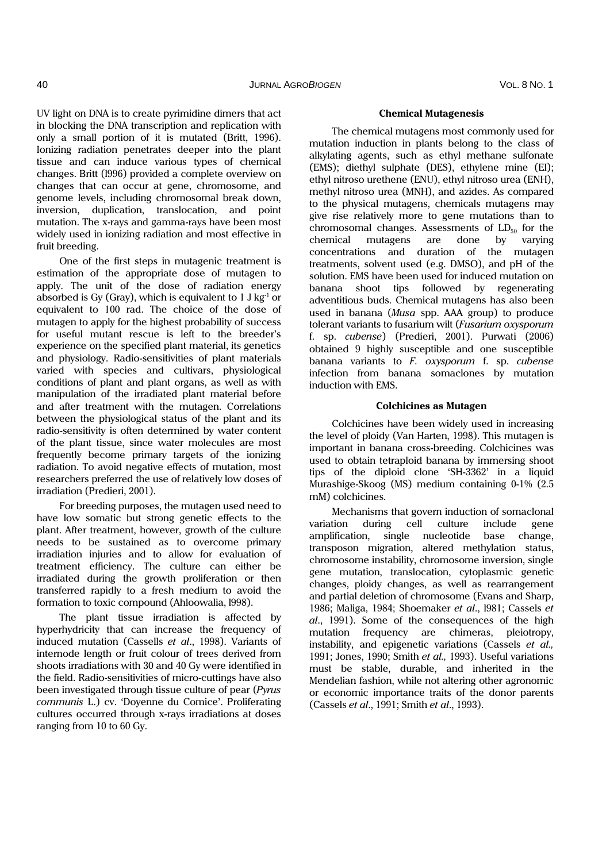UV light on DNA is to create pyrimidine dimers that act in blocking the DNA transcription and replication with only a small portion of it is mutated (Britt, 1996). Ionizing radiation penetrates deeper into the plant tissue and can induce various types of chemical changes. Britt (l996) provided a complete overview on changes that can occur at gene, chromosome, and genome levels, including chromosomal break down, inversion, duplication, translocation, and point mutation. The x-rays and gamma-rays have been most widely used in ionizing radiation and most effective in fruit breeding.

One of the first steps in mutagenic treatment is estimation of the appropriate dose of mutagen to apply. The unit of the dose of radiation energy absorbed is Gy (Gray), which is equivalent to  $1 \text{ J kg}^{-1}$  or equivalent to 100 rad. The choice of the dose of mutagen to apply for the highest probability of success for useful mutant rescue is left to the breeder's experience on the specified plant material, its genetics and physiology. Radio-sensitivities of plant materials varied with species and cultivars, physiological conditions of plant and plant organs, as well as with manipulation of the irradiated plant material before and after treatment with the mutagen. Correlations between the physiological status of the plant and its radio-sensitivity is often determined by water content of the plant tissue, since water molecules are most frequently become primary targets of the ionizing radiation. To avoid negative effects of mutation, most researchers preferred the use of relatively low doses of irradiation (Predieri, 2001).

For breeding purposes, the mutagen used need to have low somatic but strong genetic effects to the plant. After treatment, however, growth of the culture needs to be sustained as to overcome primary irradiation injuries and to allow for evaluation of treatment efficiency. The culture can either be irradiated during the growth proliferation or then transferred rapidly to a fresh medium to avoid the formation to toxic compound (Ahloowalia, l998).

The plant tissue irradiation is affected by hyperhydricity that can increase the frequency of induced mutation (Cassells *et al*., 1998). Variants of internode length or fruit colour of trees derived from shoots irradiations with 30 and 40 Gy were identified in the field. Radio-sensitivities of micro-cuttings have also been investigated through tissue culture of pear (*Pyrus communis* L.) cv. 'Doyenne du Comice'. Proliferating cultures occurred through x-rays irradiations at doses ranging from 10 to 60 Gy.

#### **Chemical Mutagenesis**

The chemical mutagens most commonly used for mutation induction in plants belong to the class of alkylating agents, such as ethyl methane sulfonate (EMS); diethyl sulphate (DES), ethylene mine (EI); ethyl nitroso urethene (ENU), ethyl nitroso urea (ENH), methyl nitroso urea (MNH), and azides. As compared to the physical mutagens, chemicals mutagens may give rise relatively more to gene mutations than to chromosomal changes. Assessments of  $LD_{50}$  for the chemical mutagens are done by varying concentrations and duration of the mutagen treatments, solvent used (e.g. DMSO), and pH of the solution. EMS have been used for induced mutation on banana shoot tips followed by regenerating adventitious buds. Chemical mutagens has also been used in banana (*Musa* spp. AAA group) to produce tolerant variants to fusarium wilt (*Fusarium oxysporum*  f. sp. *cubense*) (Predieri, 2001). Purwati (2006) obtained 9 highly susceptible and one susceptible banana variants to *F. oxysporum* f. sp. *cubense*  infection from banana somaclones by mutation induction with EMS.

#### **Colchicines as Mutagen**

Colchicines have been widely used in increasing the level of ploidy (Van Harten, 1998). This mutagen is important in banana cross-breeding. Colchicines was used to obtain tetraploid banana by immersing shoot tips of the diploid clone 'SH-3362' in a liquid Murashige-Skoog (MS) medium containing 0-1% (2.5 mM) colchicines.

Mechanisms that govern induction of somaclonal variation during cell culture include gene amplification, single nucleotide base change, transposon migration, altered methylation status, chromosome instability, chromosome inversion, single gene mutation, translocation, cytoplasmic genetic changes, ploidy changes, as well as rearrangement and partial deletion of chromosome (Evans and Sharp, 1986; Maliga, 1984; Shoemaker *et al*., l981; Cassels *et al*., 1991). Some of the consequences of the high mutation frequency are chimeras, pleiotropy, instability, and epigenetic variations (Cassels *et al.,*  1991; Jones, 1990; Smith *et al.,* 1993). Useful variations must be stable, durable, and inherited in the Mendelian fashion, while not altering other agronomic or economic importance traits of the donor parents (Cassels *et al*., 1991; Smith *et al*., 1993).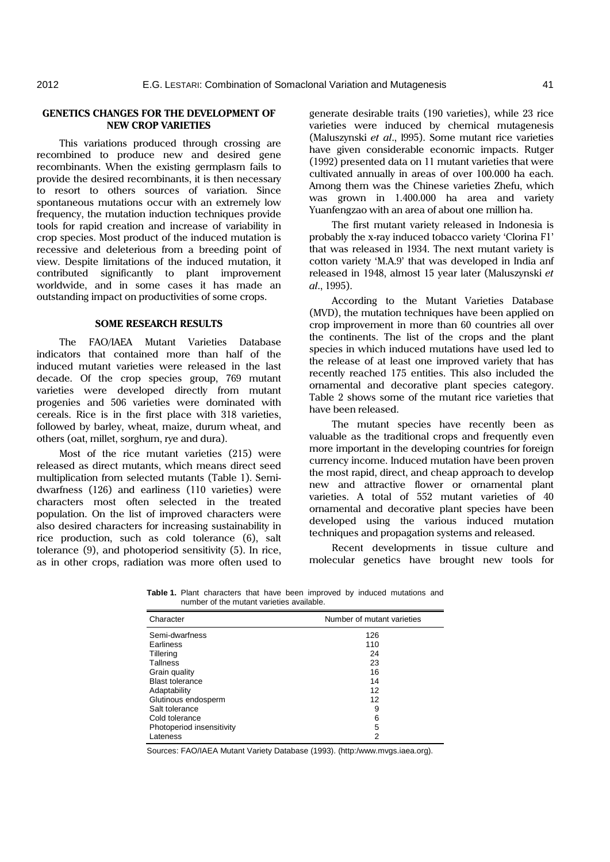## **GENETICS CHANGES FOR THE DEVELOPMENT OF NEW CROP VARIETIES**

This variations produced through crossing are recombined to produce new and desired gene recombinants. When the existing germplasm fails to provide the desired recombinants, it is then necessary to resort to others sources of variation. Since spontaneous mutations occur with an extremely low frequency, the mutation induction techniques provide tools for rapid creation and increase of variability in crop species. Most product of the induced mutation is recessive and deleterious from a breeding point of view. Despite limitations of the induced mutation, it contributed significantly to plant improvement worldwide, and in some cases it has made an outstanding impact on productivities of some crops.

#### **SOME RESEARCH RESULTS**

The FAO/IAEA Mutant Varieties Database indicators that contained more than half of the induced mutant varieties were released in the last decade. Of the crop species group, 769 mutant varieties were developed directly from mutant progenies and 506 varieties were dominated with cereals. Rice is in the first place with 318 varieties, followed by barley, wheat, maize, durum wheat, and others (oat, millet, sorghum, rye and dura).

Most of the rice mutant varieties (215) were released as direct mutants, which means direct seed multiplication from selected mutants (Table 1). Semidwarfness (126) and earliness (110 varieties) were characters most often selected in the treated population. On the list of improved characters were also desired characters for increasing sustainability in rice production, such as cold tolerance (6), salt tolerance (9), and photoperiod sensitivity (5). In rice, as in other crops, radiation was more often used to generate desirable traits (190 varieties), while 23 rice varieties were induced by chemical mutagenesis (Maluszynski *et al*., l995). Some mutant rice varieties have given considerable economic impacts. Rutger (1992) presented data on 11 mutant varieties that were cultivated annually in areas of over 100.000 ha each. Among them was the Chinese varieties Zhefu, which was grown in 1.400.000 ha area and variety Yuanfengzao with an area of about one million ha.

The first mutant variety released in Indonesia is probably the x-ray induced tobacco variety 'Clorina F1' that was released in 1934. The next mutant variety is cotton variety 'M.A.9' that was developed in India anf released in 1948, almost 15 year later (Maluszynski *et al*., 1995).

According to the Mutant Varieties Database (MVD), the mutation techniques have been applied on crop improvement in more than 60 countries all over the continents. The list of the crops and the plant species in which induced mutations have used led to the release of at least one improved variety that has recently reached 175 entities. This also included the ornamental and decorative plant species category. Table 2 shows some of the mutant rice varieties that have been released.

The mutant species have recently been as valuable as the traditional crops and frequently even more important in the developing countries for foreign currency income. Induced mutation have been proven the most rapid, direct, and cheap approach to develop new and attractive flower or ornamental plant varieties. A total of 552 mutant varieties of 40 ornamental and decorative plant species have been developed using the various induced mutation techniques and propagation systems and released.

Recent developments in tissue culture and molecular genetics have brought new tools for

**Table 1.** Plant characters that have been improved by induced mutations and number of the mutant varieties available.

| Character                 | Number of mutant varieties |
|---------------------------|----------------------------|
| Semi-dwarfness            | 126                        |
| Earliness                 | 110                        |
| Tillering                 | 24                         |
| <b>Tallness</b>           | 23                         |
| Grain quality             | 16                         |
| <b>Blast tolerance</b>    | 14                         |
| Adaptability              | 12                         |
| Glutinous endosperm       | 12                         |
| Salt tolerance            | 9                          |
| Cold tolerance            | 6                          |
| Photoperiod insensitivity | 5                          |
| Lateness                  | 2                          |

Sources: FAO/IAEA Mutant Variety Database (1993). (http:/www.mvgs.iaea.org).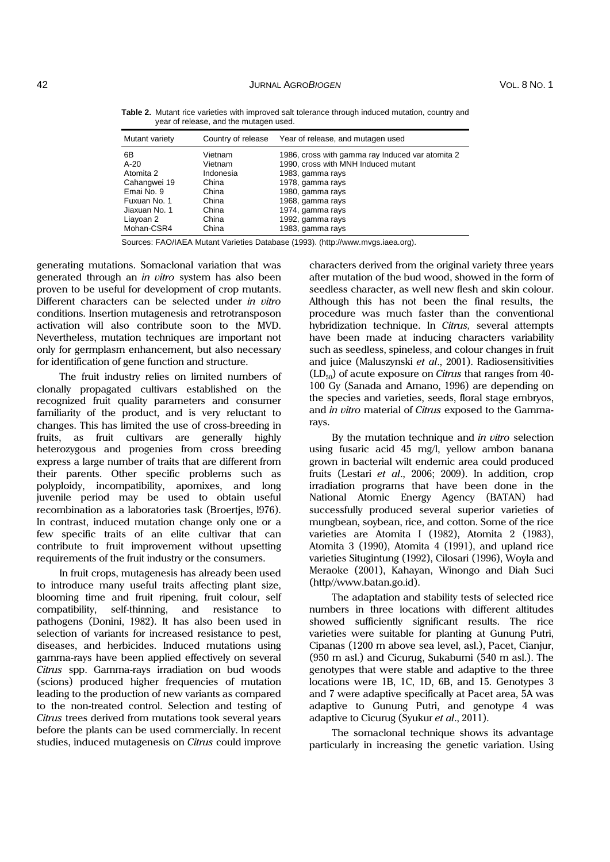| Mutant variety | Country of release | Year of release, and mutagen used                |
|----------------|--------------------|--------------------------------------------------|
| 6В             | Vietnam            | 1986, cross with gamma ray Induced var atomita 2 |
| $A-20$         | Vietnam            | 1990, cross with MNH Induced mutant              |
| Atomita 2      | Indonesia          | 1983, gamma rays                                 |
| Cahangwei 19   | China              | 1978, gamma rays                                 |
| Emai No. 9     | China              | 1980, gamma rays                                 |
| Fuxuan No. 1   | China              | 1968, gamma rays                                 |
| Jiaxuan No. 1  | China              | 1974, gamma rays                                 |
| Liayoan 2      | China              | 1992, gamma rays                                 |
| Mohan-CSR4     | China              | 1983, gamma rays                                 |

**Table 2.** Mutant rice varieties with improved salt tolerance through induced mutation, country and year of release, and the mutagen used.

Sources: FAO/IAEA Mutant Varieties Database (1993). (http://www.mvgs.iaea.org).

generating mutations. Somaclonal variation that was generated through an *in vitro* system has also been proven to be useful for development of crop mutants. Different characters can be selected under *in vitro* conditions. Insertion mutagenesis and retrotransposon activation will also contribute soon to the MVD. Nevertheless, mutation techniques are important not only for germplasm enhancement, but also necessary for identification of gene function and structure.

The fruit industry relies on limited numbers of clonally propagated cultivars established on the recognized fruit quality parameters and consumer familiarity of the product, and is very reluctant to changes. This has limited the use of cross-breeding in fruits, as fruit cultivars are generally highly heterozygous and progenies from cross breeding express a large number of traits that are different from their parents. Other specific problems such as polyploidy, incompatibility, apomixes, and long juvenile period may be used to obtain useful recombination as a laboratories task (Broertjes, l976). In contrast, induced mutation change only one or a few specific traits of an elite cultivar that can contribute to fruit improvement without upsetting requirements of the fruit industry or the consumers.

In fruit crops, mutagenesis has already been used to introduce many useful traits affecting plant size, blooming time and fruit ripening, fruit colour, self compatibility, self-thinning, and resistance to pathogens (Donini, 1982). It has also been used in selection of variants for increased resistance to pest, diseases, and herbicides. Induced mutations using gamma-rays have been applied effectively on several *Citrus* spp. Gamma-rays irradiation on bud woods (scions) produced higher frequencies of mutation leading to the production of new variants as compared to the non-treated control. Selection and testing of *Citrus* trees derived from mutations took several years before the plants can be used commercially. In recent studies, induced mutagenesis on *Citrus* could improve characters derived from the original variety three years after mutation of the bud wood, showed in the form of seedless character, as well new flesh and skin colour. Although this has not been the final results, the procedure was much faster than the conventional hybridization technique. In *Citrus,* several attempts have been made at inducing characters variability such as seedless, spineless, and colour changes in fruit and juice (Maluszynski *et al*., 2001). Radiosensitivities (LD<sub>50</sub>) of acute exposure on *Citrus* that ranges from 40-100 Gy (Sanada and Amano, 1996) are depending on the species and varieties, seeds, floral stage embryos, and *in vitro* material of *Citrus* exposed to the Gammarays.

By the mutation technique and *in vitro* selection using fusaric acid 45 mg/l, yellow ambon banana grown in bacterial wilt endemic area could produced fruits (Lestari *et al*., 2006; 2009). In addition, crop irradiation programs that have been done in the National Atomic Energy Agency (BATAN) had successfully produced several superior varieties of mungbean, soybean, rice, and cotton. Some of the rice varieties are Atomita I (1982), Atomita 2 (1983), Atomita 3 (1990), Atomita 4 (1991), and upland rice varieties Situgintung (1992), Cilosari (1996), Woyla and Meraoke (2001), Kahayan, Winongo and Diah Suci (http//www.batan.go.id).

The adaptation and stability tests of selected rice numbers in three locations with different altitudes showed sufficiently significant results. The rice varieties were suitable for planting at Gunung Putri, Cipanas (1200 m above sea level, asl.), Pacet, Cianjur, (950 m asl.) and Cicurug, Sukabumi (540 m asl.). The genotypes that were stable and adaptive to the three locations were 1B, 1C, 1D, 6B, and 15. Genotypes 3 and 7 were adaptive specifically at Pacet area, 5A was adaptive to Gunung Putri, and genotype 4 was adaptive to Cicurug (Syukur *et al*., 2011).

The somaclonal technique shows its advantage particularly in increasing the genetic variation. Using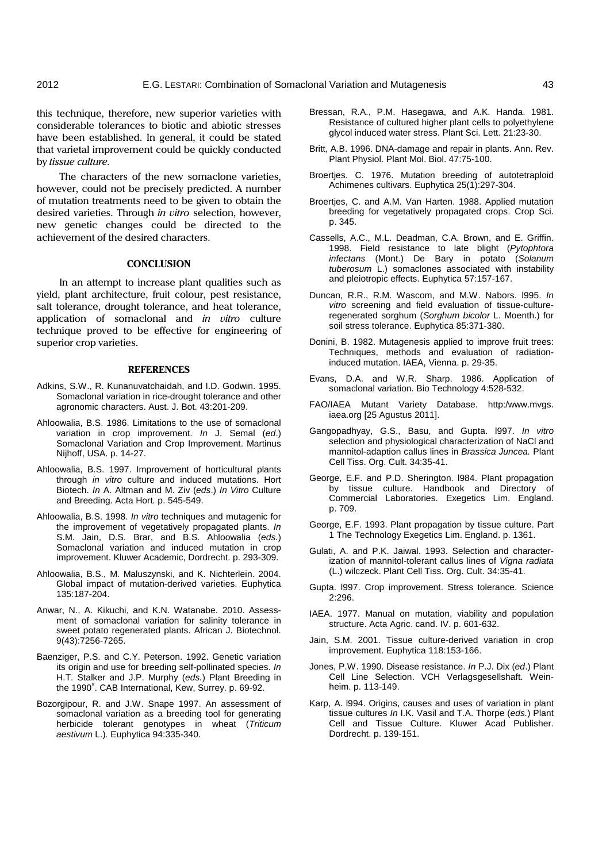this technique, therefore, new superior varieties with considerable tolerances to biotic and abiotic stresses have been established. In general, it could be stated that varietal improvement could be quickly conducted by *tissue culture.* 

The characters of the new somaclone varieties, however, could not be precisely predicted. A number of mutation treatments need to be given to obtain the desired varieties. Through *in vitro* selection, however, new genetic changes could be directed to the achievement of the desired characters.

## **CONCLUSION**

In an attempt to increase plant qualities such as yield, plant architecture, fruit colour, pest resistance, salt tolerance, drought tolerance, and heat tolerance, application of somaclonal and *in vitro* culture technique proved to be effective for engineering of superior crop varieties.

#### **REFERENCES**

- Adkins, S.W., R. Kunanuvatchaidah, and I.D. Godwin. 1995. Somaclonal variation in rice-drought tolerance and other agronomic characters. Aust. J. Bot. 43:201-209.
- Ahloowalia, B.S. 1986. Limitations to the use of somaclonal variation in crop improvement. *In* J. Semal (*ed*.) Somaclonal Variation and Crop Improvement. Martinus Nijhoff, USA. p. 14-27.
- Ahloowalia, B.S. 1997. Improvement of horticultural plants through *in vitro* culture and induced mutations. Hort Biotech. *In* A. Altman and M. Ziv (*eds*.) *In Vitro* Culture and Breeding. Acta Hort*.* p. 545-549.
- Ahloowalia, B.S. 1998. *In vitro* techniques and mutagenic for the improvement of vegetatively propagated plants. *In* S.M. Jain, D.S. Brar, and B.S. Ahloowalia (*eds.*) Somaclonal variation and induced mutation in crop improvement. Kluwer Academic, Dordrecht. p. 293-309.
- Ahloowalia, B.S., M. Maluszynski, and K. Nichterlein. 2004. Global impact of mutation-derived varieties. Euphytica 135:187-204.
- Anwar, N., A. Kikuchi, and K.N. Watanabe. 2010. Assessment of somaclonal variation for salinity tolerance in sweet potato regenerated plants. African J. Biotechnol. 9(43):7256-7265.
- Baenziger, P.S. and C.Y. Peterson. 1992. Genetic variation its origin and use for breeding self-pollinated species. *In*  H.T. Stalker and J.P. Murphy (*eds.*) Plant Breeding in the 1990<sup>s</sup>. CAB International, Kew, Surrey. p. 69-92.
- Bozorgipour, R. and J.W. Snape 1997. An assessment of somaclonal variation as a breeding tool for generating herbicide tolerant genotypes in wheat (*Triticum aestivum* L.)*.* Euphytica 94:335-340.
- Bressan, R.A., P.M. Hasegawa, and A.K. Handa. 1981. Resistance of cultured higher plant cells to polyethylene glycol induced water stress. Plant Sci. Lett. 21:23-30.
- Britt, A.B. 1996. DNA-damage and repair in plants. Ann. Rev. Plant Physiol. Plant Mol. Biol. 47:75-100.
- Broertjes. C. 1976. Mutation breeding of autotetraploid Achimenes cultivars. Euphytica 25(1):297-304.
- Broertjes, C. and A.M. Van Harten. 1988. Applied mutation breeding for vegetatively propagated crops. Crop Sci. p. 345.
- Cassells, A.C., M.L. Deadman, C.A. Brown, and E. Griffin. 1998. Field resistance to late blight (*Pytophtora infectans* (Mont.) De Bary in potato (*Solanum tuberosum* L.) somaclones associated with instability and pleiotropic effects. Euphytica 57:157-167.
- Duncan, R.R., R.M. Wascom, and M.W. Nabors. l995. *In vitro* screening and field evaluation of tissue-cultureregenerated sorghum (*Sorghum bicolor* L. Moenth.) for soil stress tolerance. Euphytica 85:371-380.
- Donini, B. 1982. Mutagenesis applied to improve fruit trees: Techniques, methods and evaluation of radiationinduced mutation. IAEA, Vienna. p. 29-35.
- Evans, D.A. and W.R. Sharp. 1986. Application of somaclonal variation. Bio Technology 4:528-532.
- FAO/IAEA Mutant Variety Database. http:/www.mvgs. iaea.org [25 Agustus 2011].
- Gangopadhyay, G.S., Basu, and Gupta. l997. *In vitro* selection and physiological characterization of NaCl and mannitol-adaption callus lines in *Brassica Juncea.* Plant Cell Tiss. Org. Cult. 34:35-41.
- George, E.F. and P.D. Sherington. l984. Plant propagation by tissue culture. Handbook and Directory of Commercial Laboratories. Exegetics Lim. England. p. 709.
- George, E.F. 1993. Plant propagation by tissue culture. Part 1 The Technology Exegetics Lim. England. p. 1361.
- Gulati, A. and P.K. Jaiwal. 1993. Selection and characterization of mannitol-tolerant callus lines of *Vigna radiata* (L.) wilczeck. Plant Cell Tiss. Org. Cult. 34:35-41.
- Gupta. l997. Crop improvement. Stress tolerance. Science 2:296.
- IAEA. 1977. Manual on mutation, viability and population structure. Acta Agric. cand. IV. p. 601-632.
- Jain, S.M. 2001. Tissue culture-derived variation in crop improvement. Euphytica 118:153-166.
- Jones, P.W. 1990. Disease resistance. *In* P.J. Dix (*ed*.) Plant Cell Line Selection. VCH Verlagsgesellshaft. Weinheim. p. 113-149.
- Karp, A. l994. Origins, causes and uses of variation in plant tissue cultures *In* I.K. Vasil and T.A. Thorpe (*eds.*) Plant Cell and Tissue Culture. Kluwer Acad Publisher. Dordrecht. p. 139-151.